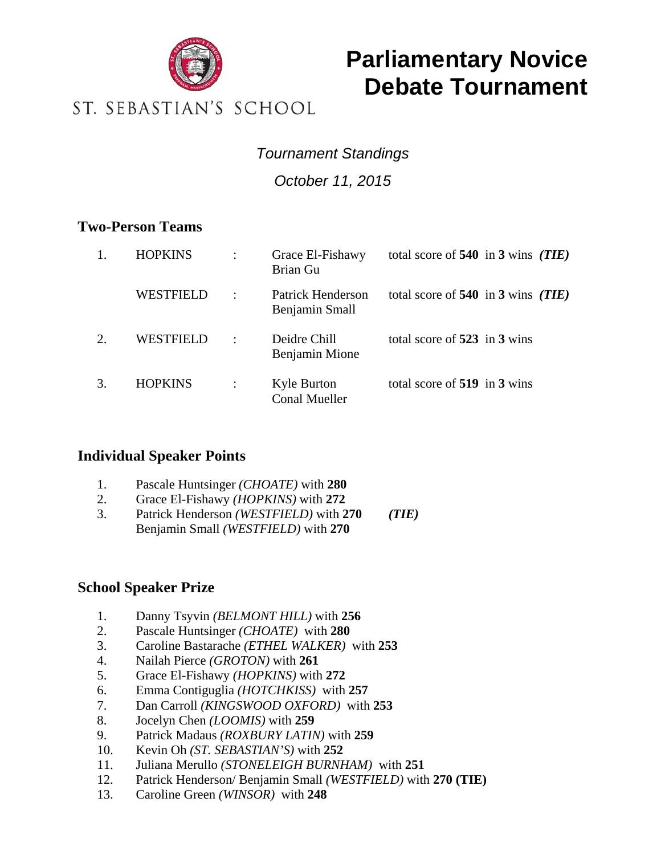

# **Parliamentary Novice Debate Tournament**

### ST. SEBASTIAN'S SCHOOL

### *Tournament Standings*

*October 11, 2015* 

#### **Two-Person Teams**

|                        | <b>HOPKINS</b> |                      | Grace El-Fishawy<br>Brian Gu               | total score of $540$ in 3 wins (TIE) |  |
|------------------------|----------------|----------------------|--------------------------------------------|--------------------------------------|--|
|                        | WESTFIELD      | $\ddot{\phantom{a}}$ | <b>Patrick Henderson</b><br>Benjamin Small | total score of $540$ in 3 wins (TIE) |  |
| $\mathcal{D}_{\alpha}$ | WESTFIELD      | $\cdot$ :            | Deidre Chill<br>Benjamin Mione             | total score of $523$ in 3 wins       |  |
| 3.                     | <b>HOPKINS</b> |                      | <b>Kyle Burton</b><br><b>Conal Mueller</b> | total score of 519 in 3 wins         |  |

#### **Individual Speaker Points**

- 1. Pascale Huntsinger *(CHOATE)* with **280**
- 2. Grace El-Fishawy *(HOPKINS)* with **272**
- 3. Patrick Henderson *(WESTFIELD)* with **270** *(TIE)* Benjamin Small *(WESTFIELD)* with **270**

#### **School Speaker Prize**

- 1. Danny Tsyvin *(BELMONT HILL)* with **256**
- 2. Pascale Huntsinger *(CHOATE)* with **280**
- 3. Caroline Bastarache *(ETHEL WALKER)* with **253**
- 4. Nailah Pierce *(GROTON)* with **261**
- 5. Grace El-Fishawy *(HOPKINS)* with **272**
- 6. Emma Contiguglia *(HOTCHKISS)* with **257**
- 7. Dan Carroll *(KINGSWOOD OXFORD)* with **253**
- 8. Jocelyn Chen *(LOOMIS)* with **259**
- 9. Patrick Madaus *(ROXBURY LATIN)* with **259**
- 10. Kevin Oh *(ST. SEBASTIAN'S)* with **252**
- 11. Juliana Merullo *(STONELEIGH BURNHAM)* with **251**
- 12. Patrick Henderson/ Benjamin Small *(WESTFIELD)* with **270 (TIE)**
- 13. Caroline Green *(WINSOR)* with **248**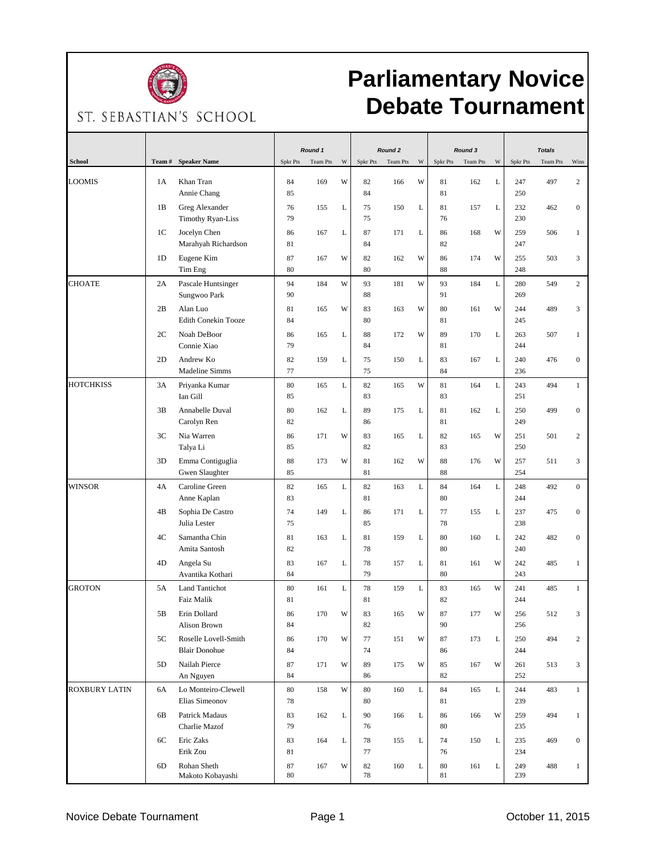

# **Parliamentary Novice Debate Tournament**

ST. SEBASTIAN'S SCHOOL

|                      |        |                                              | Round 1  |          | Round <sub>2</sub> |          |          | Round 3 |                 |          | <b>Totals</b> |            |          |                  |
|----------------------|--------|----------------------------------------------|----------|----------|--------------------|----------|----------|---------|-----------------|----------|---------------|------------|----------|------------------|
| <b>School</b>        | Team # | <b>Speaker Name</b>                          | Spkr Pts | Team Pts | W                  | Spkr Pts | Team Pts | W       | <b>Spkr Pts</b> | Team Pts | W             | Spkr Pts   | Team Pts | Wins             |
| LOOMIS               | 1A     | Khan Tran<br>Annie Chang                     | 84<br>85 | 169      | W                  | 82<br>84 | 166      | W       | 81<br>81        | 162      | L             | 247<br>250 | 497      | 2                |
|                      | 1B     | Greg Alexander<br><b>Timothy Ryan-Liss</b>   | 76<br>79 | 155      | L                  | 75<br>75 | 150      | L       | 81<br>76        | 157      | L             | 232<br>230 | 462      | $\boldsymbol{0}$ |
|                      | 1C     | Jocelyn Chen<br>Marahyah Richardson          | 86<br>81 | 167      | L                  | 87<br>84 | 171      | L       | 86<br>82        | 168      | W             | 259<br>247 | 506      | $\mathbf{1}$     |
|                      | 1D     | Eugene Kim<br>Tim Eng                        | 87<br>80 | 167      | W                  | 82<br>80 | 162      | W       | 86<br>88        | 174      | W             | 255<br>248 | 503      | 3                |
| <b>CHOATE</b>        | 2A     | Pascale Huntsinger<br>Sungwoo Park           | 94<br>90 | 184      | W                  | 93<br>88 | 181      | W       | 93<br>91        | 184      | L             | 280<br>269 | 549      | $\overline{c}$   |
|                      | 2B     | Alan Luo<br><b>Edith Conekin Tooze</b>       | 81<br>84 | 165      | W                  | 83<br>80 | 163      | W       | 80<br>81        | 161      | W             | 244<br>245 | 489      | 3                |
|                      | 2C     | Noah DeBoor<br>Connie Xiao                   | 86<br>79 | 165      | L                  | 88<br>84 | 172      | W       | 89<br>81        | 170      | L             | 263<br>244 | 507      | $\mathbf{1}$     |
|                      | 2D     | Andrew Ko<br>Madeline Simms                  | 82<br>77 | 159      | L                  | 75<br>75 | 150      | L       | 83<br>84        | 167      | L             | 240<br>236 | 476      | $\boldsymbol{0}$ |
| <b>HOTCHKISS</b>     | 3A     | Priyanka Kumar<br>Ian Gill                   | 80<br>85 | 165      | L                  | 82<br>83 | 165      | W       | 81<br>83        | 164      | L             | 243<br>251 | 494      | $\mathbf{1}$     |
|                      | 3B     | Annabelle Duval<br>Carolyn Ren               | 80<br>82 | 162      | L                  | 89<br>86 | 175      | L       | 81<br>81        | 162      | L             | 250<br>249 | 499      | $\overline{0}$   |
|                      | 3C     | Nia Warren<br>Talya Li                       | 86<br>85 | 171      | W                  | 83<br>82 | 165      | L       | 82<br>83        | 165      | W             | 251<br>250 | 501      | 2                |
|                      | 3D     | Emma Contiguglia<br>Gwen Slaughter           | 88<br>85 | 173      | W                  | 81<br>81 | 162      | W       | 88<br>88        | 176      | W             | 257<br>254 | 511      | 3                |
| <b>WINSOR</b>        | 4A     | Caroline Green<br>Anne Kaplan                | 82<br>83 | 165      | $\mathbf L$        | 82<br>81 | 163      | L       | 84<br>80        | 164      | L             | 248<br>244 | 492      | $\mathbf{0}$     |
|                      | 4B     | Sophia De Castro<br>Julia Lester             | 74<br>75 | 149      | L                  | 86<br>85 | 171      | L       | 77<br>78        | 155      | L             | 237<br>238 | 475      | $\mathbf{0}$     |
|                      | 4C     | Samantha Chin<br>Amita Santosh               | 81<br>82 | 163      | L                  | 81<br>78 | 159      | L       | 80<br>80        | 160      | L             | 242<br>240 | 482      | $\boldsymbol{0}$ |
|                      | 4D     | Angela Su<br>Avantika Kothari                | 83<br>84 | 167      | L                  | 78<br>79 | 157      | L       | 81<br>80        | 161      | W             | 242<br>243 | 485      | $\mathbf{1}$     |
| <b>GROTON</b>        | 5A     | <b>Land Tantichot</b><br>Faiz Malik          | 80<br>81 | 161      | L                  | 78<br>81 | 159      | L       | 83<br>82        | 165      | W             | 241<br>244 | 485      | $\mathbf{1}$     |
|                      | 5B     | Erin Dollard<br>Alison Brown                 | 86<br>84 | 170      | W                  | 83<br>82 | 165      | W       | 87<br>90        | 177      | W             | 256<br>256 | 512      | 3                |
|                      | 5C     | Roselle Lovell-Smith<br><b>Blair Donohue</b> | 86<br>84 | 170      | W                  | 77<br>74 | 151      | W       | 87<br>86        | 173      | L             | 250<br>244 | 494      | 2                |
|                      | 5D     | Nailah Pierce<br>An Nguyen                   | 87<br>84 | 171      | W                  | 89<br>86 | 175      | W       | 85<br>82        | 167      | W             | 261<br>252 | 513      | 3                |
| <b>ROXBURY LATIN</b> | 6A     | Lo Monteiro-Clewell<br>Elias Simeonov        | 80<br>78 | 158      | W                  | 80<br>80 | 160      | L       | 84<br>81        | 165      | L             | 244<br>239 | 483      | $\mathbf{1}$     |
|                      | 6B     | Patrick Madaus<br>Charlie Mazof              | 83<br>79 | 162      | L                  | 90<br>76 | 166      | L       | 86<br>80        | 166      | W             | 259<br>235 | 494      | $\mathbf{1}$     |
|                      | 6C     | Eric Zaks<br>Erik Zou                        | 83<br>81 | 164      | L                  | 78<br>77 | 155      | L       | 74<br>76        | 150      | L             | 235<br>234 | 469      | $\mathbf{0}$     |
|                      | 6D     | Rohan Sheth<br>Makoto Kobayashi              | 87<br>80 | 167      | W                  | 82<br>78 | 160      | L       | 80<br>81        | 161      | L             | 249<br>239 | 488      | $\mathbf{1}$     |